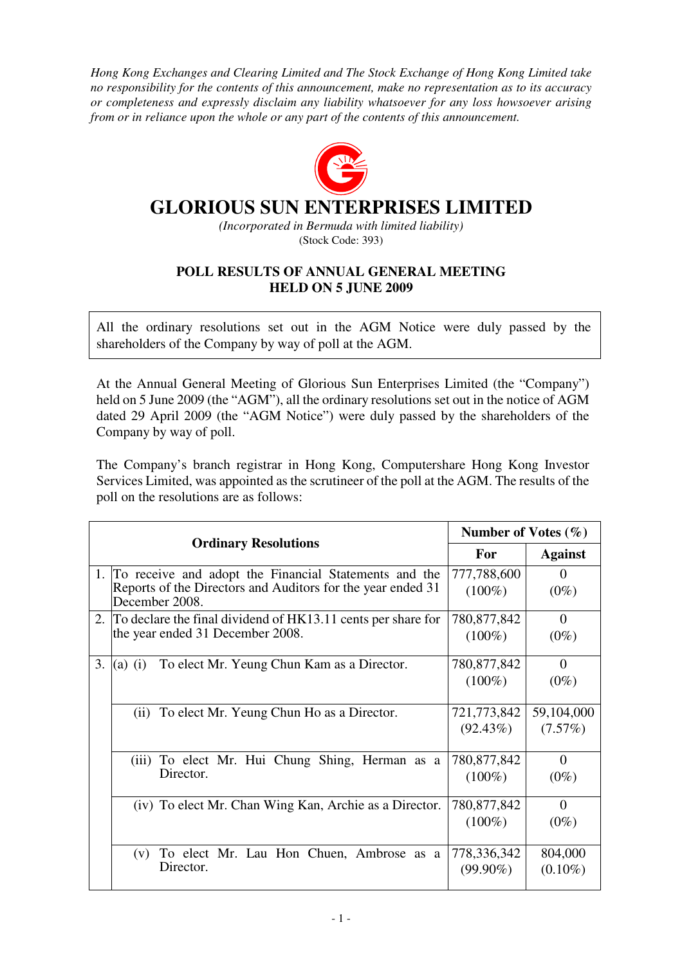*Hong Kong Exchanges and Clearing Limited and The Stock Exchange of Hong Kong Limited take no responsibility for the contents of this announcement, make no representation as to its accuracy or completeness and expressly disclaim any liability whatsoever for any loss howsoever arising from or in reliance upon the whole or any part of the contents of this announcement.* 



## **GLORIOUS SUN ENTERPRISES LIMITED**

*(Incorporated in Bermuda with limited liability)*  (Stock Code: 393)

## **POLL RESULTS OF ANNUAL GENERAL MEETING HELD ON 5 JUNE 2009**

All the ordinary resolutions set out in the AGM Notice were duly passed by the shareholders of the Company by way of poll at the AGM.

At the Annual General Meeting of Glorious Sun Enterprises Limited (the "Company") held on 5 June 2009 (the "AGM"), all the ordinary resolutions set out in the notice of AGM dated 29 April 2009 (the "AGM Notice") were duly passed by the shareholders of the Company by way of poll.

The Company's branch registrar in Hong Kong, Computershare Hong Kong Investor Services Limited, was appointed as the scrutineer of the poll at the AGM. The results of the poll on the resolutions are as follows:

|                             |                                                                               | Number of Votes $(\% )$ |                |
|-----------------------------|-------------------------------------------------------------------------------|-------------------------|----------------|
| <b>Ordinary Resolutions</b> |                                                                               | For                     | <b>Against</b> |
|                             | 1. To receive and adopt the Financial Statements and the                      | 777,788,600             | 0              |
|                             | Reports of the Directors and Auditors for the year ended 31<br>December 2008. | $(100\%)$               | $(0\%)$        |
|                             | 2. To declare the final dividend of HK13.11 cents per share for               | 780,877,842             | $\Omega$       |
|                             | the year ended 31 December 2008.                                              | $(100\%)$               | $(0\%)$        |
| 3.                          | To elect Mr. Yeung Chun Kam as a Director.<br>$(a)$ (i)                       | 780,877,842             | 0              |
|                             |                                                                               | $(100\%)$               | $(0\%)$        |
|                             | To elect Mr. Yeung Chun Ho as a Director.<br>(ii)                             | 721,773,842             | 59,104,000     |
|                             |                                                                               | $(92.43\%)$             | (7.57%)        |
|                             | (iii) To elect Mr. Hui Chung Shing, Herman as a                               | 780,877,842             | $\Omega$       |
|                             | Director.                                                                     | $(100\%)$               | $(0\%)$        |
|                             | (iv) To elect Mr. Chan Wing Kan, Archie as a Director.                        | 780,877,842             | $\Omega$       |
|                             |                                                                               | $(100\%)$               | $(0\%)$        |
|                             | To elect Mr. Lau Hon Chuen, Ambrose as a<br>(v)                               | 778,336,342             | 804,000        |
|                             | Director.                                                                     | $(99.90\%)$             | $(0.10\%)$     |